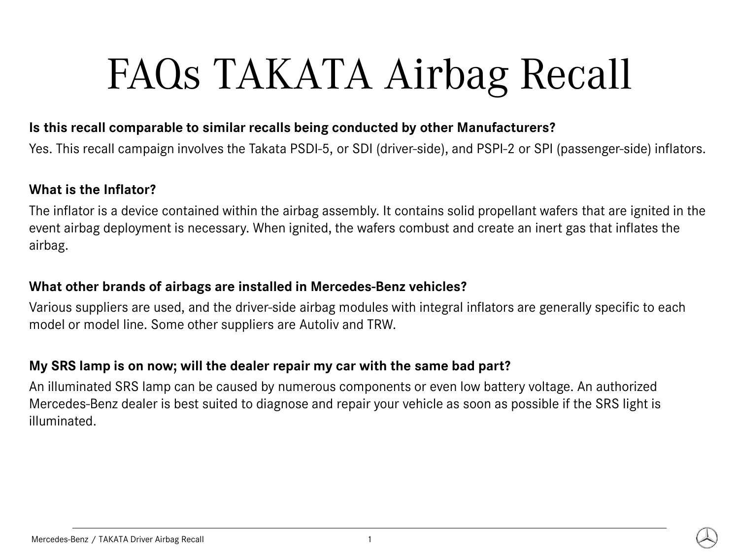#### **Is this recall comparable to similar recalls being conducted by other Manufacturers?**

Yes. This recall campaign involves the Takata PSDI-5, or SDI (driver-side), and PSPI-2 or SPI (passenger-side) inflators.

#### **What is the Inflator?**

The inflator is a device contained within the airbag assembly. It contains solid propellant wafers that are ignited in the event airbag deployment is necessary. When ignited, the wafers combust and create an inert gas that inflates the airbag.

#### **What other brands of airbags are installed in Mercedes-Benz vehicles?**

Various suppliers are used, and the driver-side airbag modules with integral inflators are generally specific to each model or model line. Some other suppliers are Autoliv and TRW.

# **My SRS lamp is on now; will the dealer repair my car with the same bad part?**

An illuminated SRS lamp can be caused by numerous components or even low battery voltage. An authorized Mercedes-Benz dealer is best suited to diagnose and repair your vehicle as soon as possible if the SRS light is illuminated.

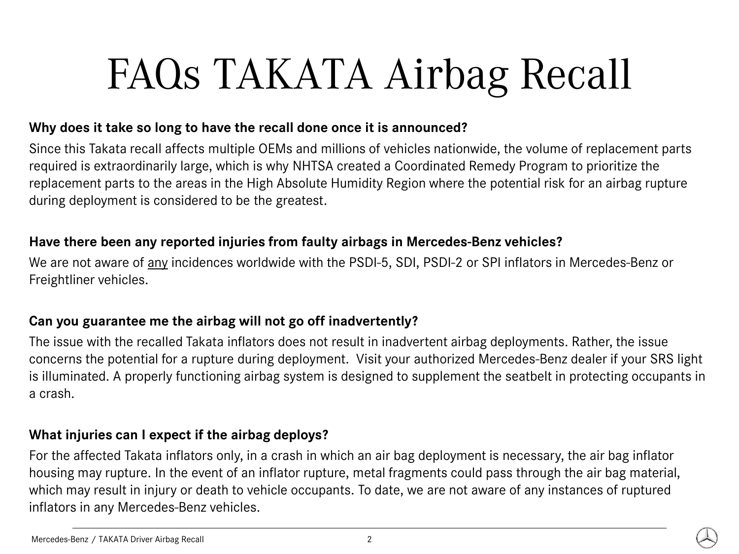# **Why does it take so long to have the recall done once it is announced?**

Since this Takata recall affects multiple OEMs and millions of vehicles nationwide, the volume of replacement parts required is extraordinarily large, which is why NHTSA created a Coordinated Remedy Program to prioritize the replacement parts to the areas in the High Absolute Humidity Region where the potential risk for an airbag rupture during deployment is considered to be the greatest.

# **Have there been any reported injuries from faulty airbags in Mercedes-Benz vehicles?**

We are not aware of any incidences worldwide with the PSDI-5, SDI, PSDI-2 or SPI inflators in Mercedes-Benz or Freightliner vehicles.

# **Can you guarantee me the airbag will not go off inadvertently?**

The issue with the recalled Takata inflators does not result in inadvertent airbag deployments. Rather, the issue concerns the potential for a rupture during deployment. Visit your authorized Mercedes-Benz dealer if your SRS light is illuminated. A properly functioning airbag system is designed to supplement the seatbelt in protecting occupants in a crash.

# **What injuries can I expect if the airbag deploys?**

For the affected Takata inflators only, in a crash in which an air bag deployment is necessary, the air bag inflator housing may rupture. In the event of an inflator rupture, metal fragments could pass through the air bag material, which may result in injury or death to vehicle occupants. To date, we are not aware of any instances of ruptured inflators in any Mercedes-Benz vehicles.

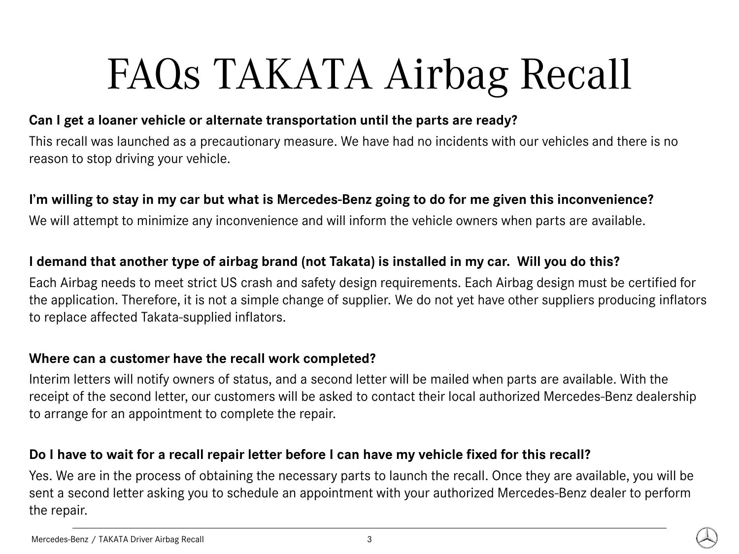# **Can I get a loaner vehicle or alternate transportation until the parts are ready?**

This recall was launched as a precautionary measure. We have had no incidents with our vehicles and there is no reason to stop driving your vehicle.

# **I'm willing to stay in my car but what is Mercedes-Benz going to do for me given this inconvenience?**

We will attempt to minimize any inconvenience and will inform the vehicle owners when parts are available.

# **I demand that another type of airbag brand (not Takata) is installed in my car. Will you do this?**

Each Airbag needs to meet strict US crash and safety design requirements. Each Airbag design must be certified for the application. Therefore, it is not a simple change of supplier. We do not yet have other suppliers producing inflators to replace affected Takata-supplied inflators.

### **Where can a customer have the recall work completed?**

Interim letters will notify owners of status, and a second letter will be mailed when parts are available. With the receipt of the second letter, our customers will be asked to contact their local authorized Mercedes-Benz dealership to arrange for an appointment to complete the repair.

### **Do I have to wait for a recall repair letter before I can have my vehicle fixed for this recall?**

Yes. We are in the process of obtaining the necessary parts to launch the recall. Once they are available, you will be sent a second letter asking you to schedule an appointment with your authorized Mercedes-Benz dealer to perform the repair.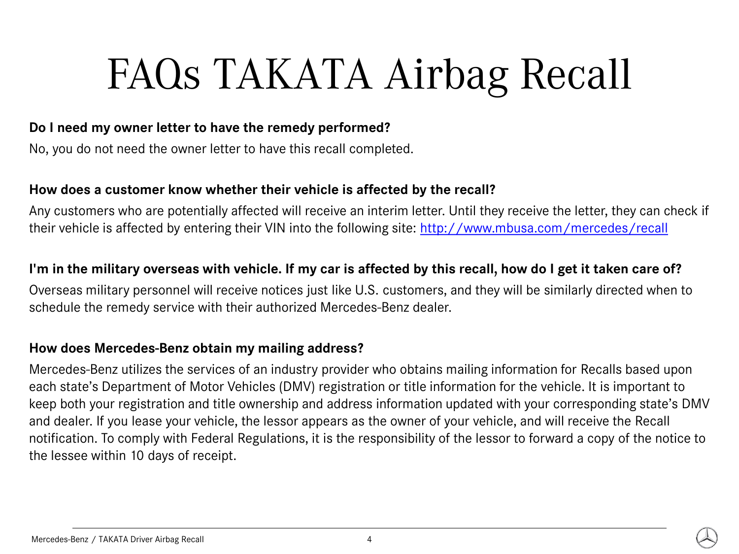### **Do I need my owner letter to have the remedy performed?**

No, you do not need the owner letter to have this recall completed.

#### **How does a customer know whether their vehicle is affected by the recall?**

Any customers who are potentially affected will receive an interim letter. Until they receive the letter, they can check if their vehicle is affected by entering their VIN into the following site:<http://www.mbusa.com/mercedes/recall>

#### **I'm in the military overseas with vehicle. If my car is affected by this recall, how do I get it taken care of?**

Overseas military personnel will receive notices just like U.S. customers, and they will be similarly directed when to schedule the remedy service with their authorized Mercedes-Benz dealer.

### **How does Mercedes-Benz obtain my mailing address?**

Mercedes-Benz utilizes the services of an industry provider who obtains mailing information for Recalls based upon each state's Department of Motor Vehicles (DMV) registration or title information for the vehicle. It is important to keep both your registration and title ownership and address information updated with your corresponding state's DMV and dealer. If you lease your vehicle, the lessor appears as the owner of your vehicle, and will receive the Recall notification. To comply with Federal Regulations, it is the responsibility of the lessor to forward a copy of the notice to the lessee within 10 days of receipt.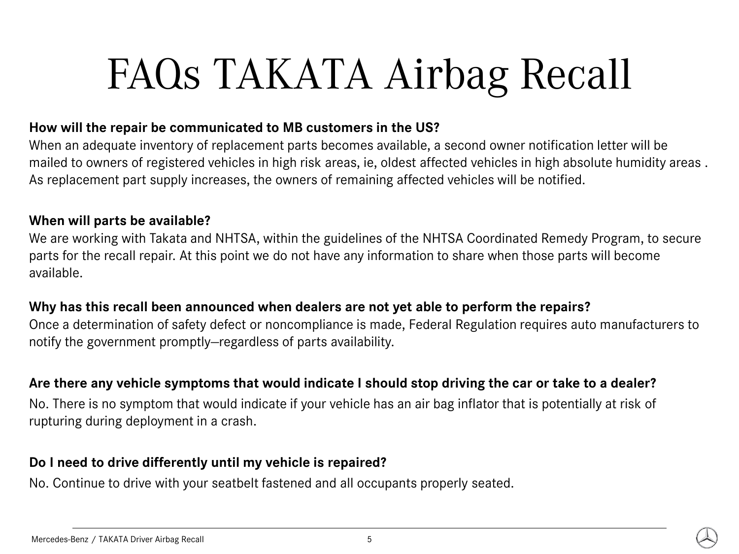### **How will the repair be communicated to MB customers in the US?**

When an adequate inventory of replacement parts becomes available, a second owner notification letter will be mailed to owners of registered vehicles in high risk areas, ie, oldest affected vehicles in high absolute humidity areas . As replacement part supply increases, the owners of remaining affected vehicles will be notified.

#### **When will parts be available?**

We are working with Takata and NHTSA, within the guidelines of the NHTSA Coordinated Remedy Program, to secure parts for the recall repair. At this point we do not have any information to share when those parts will become available.

### **Why has this recall been announced when dealers are not yet able to perform the repairs?**

Once a determination of safety defect or noncompliance is made, Federal Regulation requires auto manufacturers to notify the government promptly—regardless of parts availability.

### **Are there any vehicle symptoms that would indicate I should stop driving the car or take to a dealer?**

No. There is no symptom that would indicate if your vehicle has an air bag inflator that is potentially at risk of rupturing during deployment in a crash.

# **Do I need to drive differently until my vehicle is repaired?**

No. Continue to drive with your seatbelt fastened and all occupants properly seated.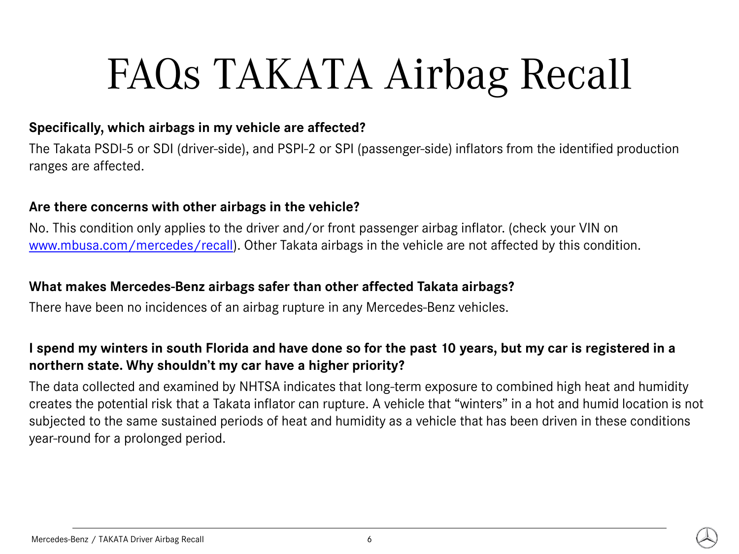# **Specifically, which airbags in my vehicle are affected?**

The Takata PSDI-5 or SDI (driver-side), and PSPI-2 or SPI (passenger-side) inflators from the identified production ranges are affected.

# **Are there concerns with other airbags in the vehicle?**

No. This condition only applies to the driver and/or front passenger airbag inflator. (check your VIN on [www.mbusa.com/mercedes/recall](http://www.mbusa.com/mercedes/recall)). Other Takata airbags in the vehicle are not affected by this condition.

### **What makes Mercedes-Benz airbags safer than other affected Takata airbags?**

There have been no incidences of an airbag rupture in any Mercedes-Benz vehicles.

# **I spend my winters in south Florida and have done so for the past 10 years, but my car is registered in a northern state. Why shouldn't my car have a higher priority?**

The data collected and examined by NHTSA indicates that long-term exposure to combined high heat and humidity creates the potential risk that a Takata inflator can rupture. A vehicle that "winters" in a hot and humid location is not subjected to the same sustained periods of heat and humidity as a vehicle that has been driven in these conditions year-round for a prolonged period.

#### Mercedes-Benz / TAKATA Driver Airbag Recall 6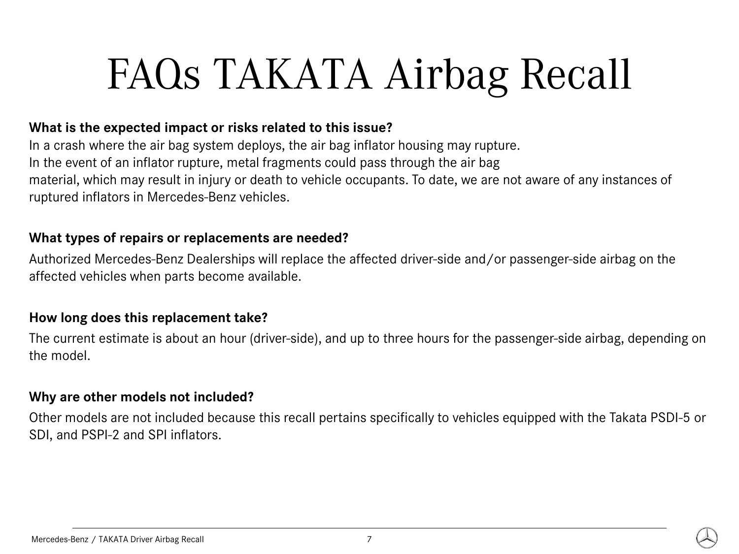### **What is the expected impact or risks related to this issue?**

In a crash where the air bag system deploys, the air bag inflator housing may rupture. In the event of an inflator rupture, metal fragments could pass through the air bag material, which may result in injury or death to vehicle occupants. To date, we are not aware of any instances of ruptured inflators in Mercedes-Benz vehicles.

#### **What types of repairs or replacements are needed?**

Authorized Mercedes-Benz Dealerships will replace the affected driver-side and/or passenger-side airbag on the affected vehicles when parts become available.

#### **How long does this replacement take?**

The current estimate is about an hour (driver-side), and up to three hours for the passenger-side airbag, depending on the model.

#### **Why are other models not included?**

Other models are not included because this recall pertains specifically to vehicles equipped with the Takata PSDI-5 or SDI, and PSPI-2 and SPI inflators.

#### Mercedes-Benz / TAKATA Driver Airbag Recall 7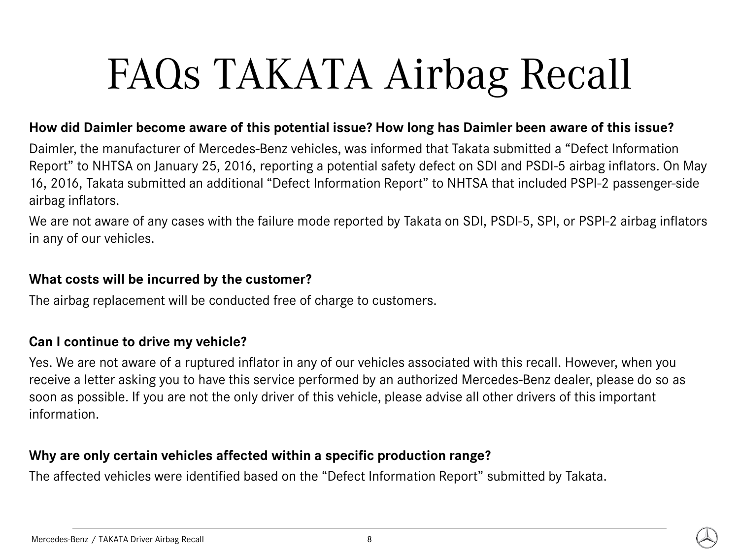### **How did Daimler become aware of this potential issue? How long has Daimler been aware of this issue?**

Daimler, the manufacturer of Mercedes-Benz vehicles, was informed that Takata submitted a "Defect Information Report" to NHTSA on January 25, 2016, reporting a potential safety defect on SDI and PSDI-5 airbag inflators. On May 16, 2016, Takata submitted an additional "Defect Information Report" to NHTSA that included PSPI-2 passenger-side airbag inflators.

We are not aware of any cases with the failure mode reported by Takata on SDI, PSDI-5, SPI, or PSPI-2 airbag inflators in any of our vehicles.

# **What costs will be incurred by the customer?**

The airbag replacement will be conducted free of charge to customers.

# **Can I continue to drive my vehicle?**

Yes. We are not aware of a ruptured inflator in any of our vehicles associated with this recall. However, when you receive a letter asking you to have this service performed by an authorized Mercedes-Benz dealer, please do so as soon as possible. If you are not the only driver of this vehicle, please advise all other drivers of this important information.

### **Why are only certain vehicles affected within a specific production range?**

The affected vehicles were identified based on the "Defect Information Report" submitted by Takata.